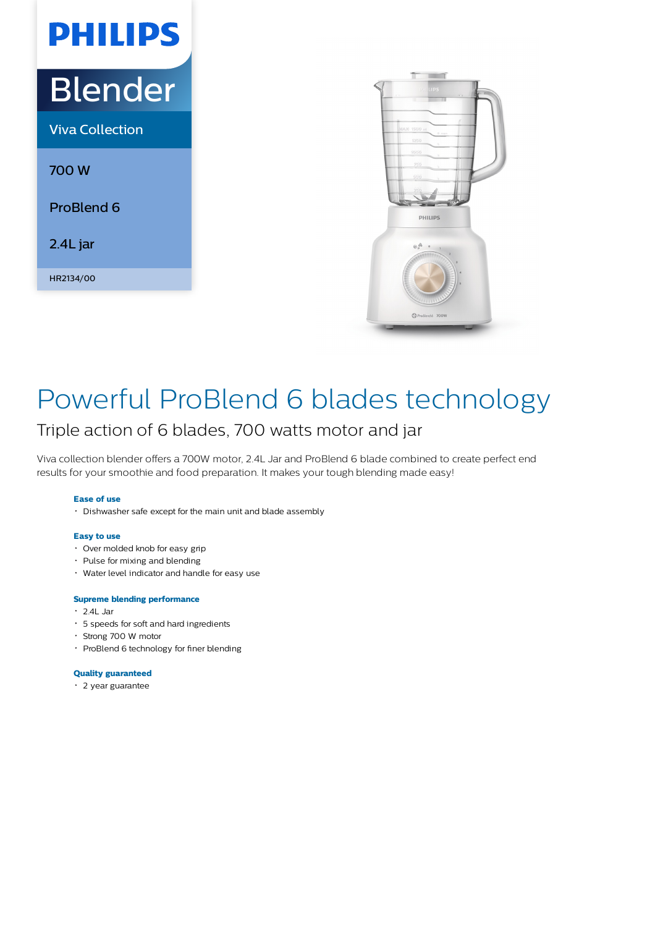# **PHILIPS** Blender Viva Collection

700 W

ProBlend 6

2.4L jar

HR2134/00



### Powerful ProBlend 6 blades technology

### Triple action of 6 blades, 700 watts motor and jar

Viva collection blender offers a 700W motor, 2.4L Jar and ProBlend 6 blade combined to create perfect end results for your smoothie and food preparation. It makes your tough blending made easy!

#### **Ease of use**

Dishwasher safe except for the main unit and blade assembly

#### **Easy to use**

- Over molded knob for easy grip
- Pulse for mixing and blending
- Water level indicator and handle for easy use

#### **Supreme blending performance**

- 2.4L Jar
- 5 speeds for soft and hard ingredients
- Strong 700 W motor
- ProBlend 6 technology for finer blending

#### **Quality guaranteed**

2 year guarantee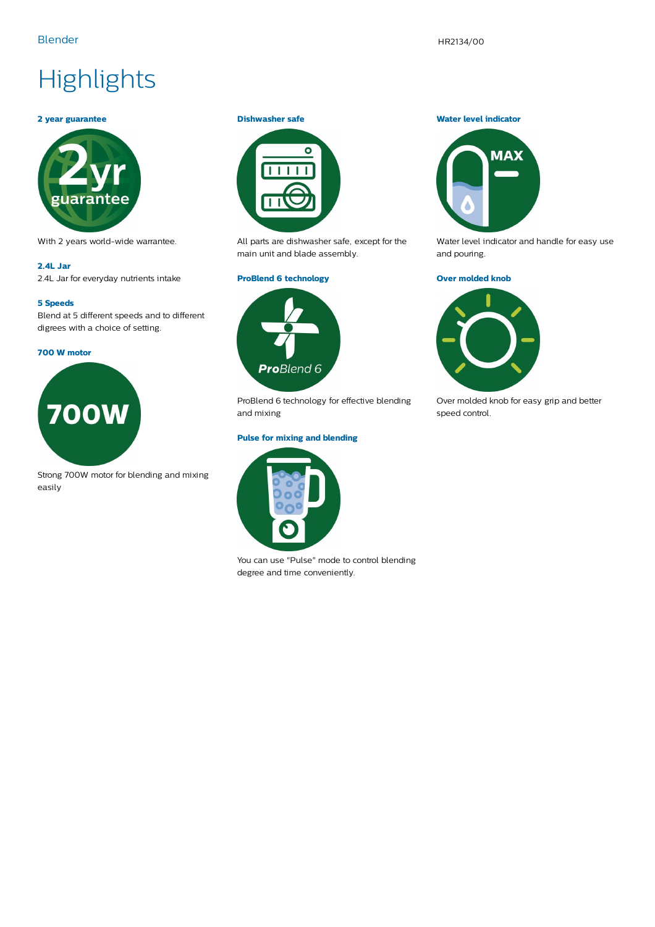## **Highlights**

#### **2 year guarantee**



With 2 years world-wide warrantee.

#### **2.4L Jar**

2.4L Jar for everyday nutrients intake

#### **5 Speeds**

Blend at 5 different speeds and to different digrees with a choice of setting.

#### **700 W motor**



Strong 700W motor for blending and mixing easily

#### **Dishwasher safe**



All parts are dishwasher safe, except for the main unit and blade assembly.

#### **ProBlend 6 technology**



ProBlend 6 technology for effective blending and mixing

#### **Pulse for mixing and blending**



You can use "Pulse" mode to control blending degree and time conveniently.

#### **Water level indicator**



Water level indicator and handle for easy use and pouring.

#### **Over molded knob**



Over molded knob for easy grip and better speed control.